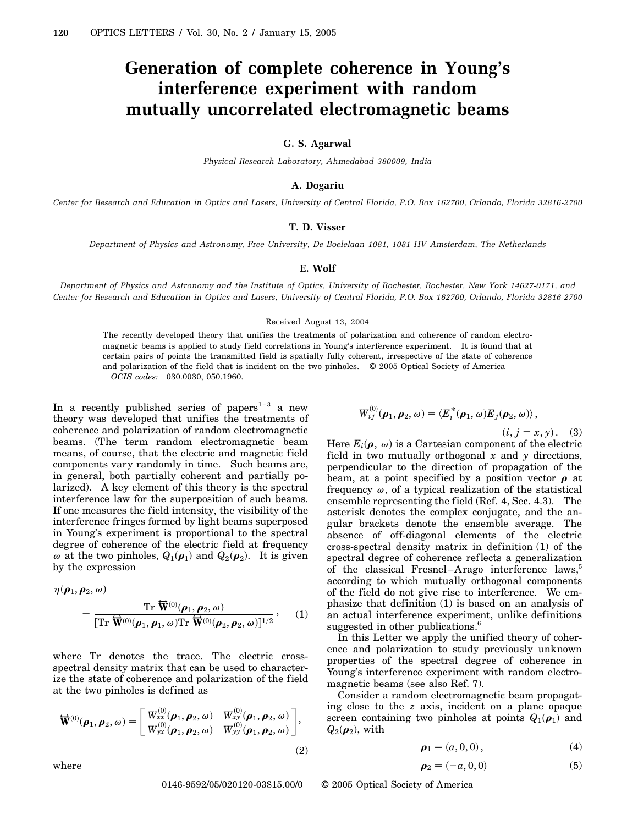# **Generation of complete coherence in Young's interference experiment with random mutually uncorrelated electromagnetic beams**

## **G. S. Agarwal**

*Physical Research Laboratory, Ahmedabad 380009, India*

## **A. Dogariu**

*Center for Research and Education in Optics and Lasers, University of Central Florida, P.O. Box 162700, Orlando, Florida 32816-2700*

#### **T. D. Visser**

*Department of Physics and Astronomy, Free University, De Boelelaan 1081, 1081 HV Amsterdam, The Netherlands*

### **E. Wolf**

*Department of Physics and Astronomy and the Institute of Optics, University of Rochester, Rochester, New York 14627-0171, and Center for Research and Education in Optics and Lasers, University of Central Florida, P.O. Box 162700, Orlando, Florida 32816-2700*

#### Received August 13, 2004

The recently developed theory that unifies the treatments of polarization and coherence of random electromagnetic beams is applied to study field correlations in Young's interference experiment. It is found that at certain pairs of points the transmitted field is spatially fully coherent, irrespective of the state of coherence and polarization of the field that is incident on the two pinholes. © 2005 Optical Society of America *OCIS codes:* 030.0030, 050.1960.

In a recently published series of papers $1-3$  a new theory was developed that unifies the treatments of coherence and polarization of random electromagnetic beams. (The term random electromagnetic beam means, of course, that the electric and magnetic field components vary randomly in time. Such beams are, in general, both partially coherent and partially polarized). A key element of this theory is the spectral interference law for the superposition of such beams. If one measures the field intensity, the visibility of the interference fringes formed by light beams superposed in Young's experiment is proportional to the spectral degree of coherence of the electric field at frequency  $\omega$  at the two pinholes,  $Q_1(\rho_1)$  and  $Q_2(\rho_2)$ . It is given by the expression

$$
\eta(\boldsymbol{\rho}_1, \boldsymbol{\rho}_2, \omega) = \frac{\operatorname{Tr} \overleftrightarrow{\mathbf{W}}^{(0)}(\boldsymbol{\rho}_1, \boldsymbol{\rho}_2, \omega)}{\left[\operatorname{Tr} \overleftrightarrow{\mathbf{W}}^{(0)}(\boldsymbol{\rho}_1, \boldsymbol{\rho}_1, \omega) \operatorname{Tr} \overleftrightarrow{\mathbf{W}}^{(0)}(\boldsymbol{\rho}_2, \boldsymbol{\rho}_2, \omega)\right]^{1/2}}, \quad (1)
$$

where Tr denotes the trace. The electric crossspectral density matrix that can be used to characterize the state of coherence and polarization of the field at the two pinholes is defined as

$$
\mathbf{\overline{W}}^{(0)}(\boldsymbol{\rho}_1, \boldsymbol{\rho}_2, \omega) = \begin{bmatrix} W_{xx}^{(0)}(\boldsymbol{\rho}_1, \boldsymbol{\rho}_2, \omega) & W_{xy}^{(0)}(\boldsymbol{\rho}_1, \boldsymbol{\rho}_2, \omega) \\ W_{yx}^{(0)}(\boldsymbol{\rho}_1, \boldsymbol{\rho}_2, \omega) & W_{yy}^{(0)}(\boldsymbol{\rho}_1, \boldsymbol{\rho}_2, \omega) \end{bmatrix},
$$
\n(2)

where

$$
W^{(0)}_{ij}({\boldsymbol\rho}_1,{\boldsymbol\rho}_2,\omega)=\langle E_i^*({\boldsymbol\rho}_1,\omega)E_j({\boldsymbol\rho}_2,\omega)\rangle\,,
$$

 $(i, j = x, y)$ . (3)

Here  $E_i(\boldsymbol{\rho},\,\omega)$  is a Cartesian component of the electric field in two mutually orthogonal *x* and *y* directions, perpendicular to the direction of propagation of the beam, at a point specified by a position vector  $\rho$  at frequency  $\omega$ , of a typical realization of the statistical ensemble representing the field (Ref. 4, Sec. 4.3). The asterisk denotes the complex conjugate, and the angular brackets denote the ensemble average. The absence of off-diagonal elements of the electric cross-spectral density matrix in definition (1) of the spectral degree of coherence reflects a generalization of the classical Fresnel–Arago interference laws,<sup>5</sup> according to which mutually orthogonal components of the field do not give rise to interference. We emphasize that definition (1) is based on an analysis of an actual interference experiment, unlike definitions suggested in other publications.<sup>6</sup>

In this Letter we apply the unified theory of coherence and polarization to study previously unknown properties of the spectral degree of coherence in Young's interference experiment with random electromagnetic beams (see also Ref. 7).

Consider a random electromagnetic beam propagating close to the *z* axis, incident on a plane opaque screen containing two pinholes at points  $Q_1(\rho_1)$  and  $Q_2(\boldsymbol \rho_2)$ , with

$$
\rho_1 = (a, 0, 0), \tag{4}
$$

$$
\boldsymbol{\rho}_2 = (-a, 0, 0) \tag{5}
$$

0146-9592/05/020120-03\$15.00/0 © 2005 Optical Society of America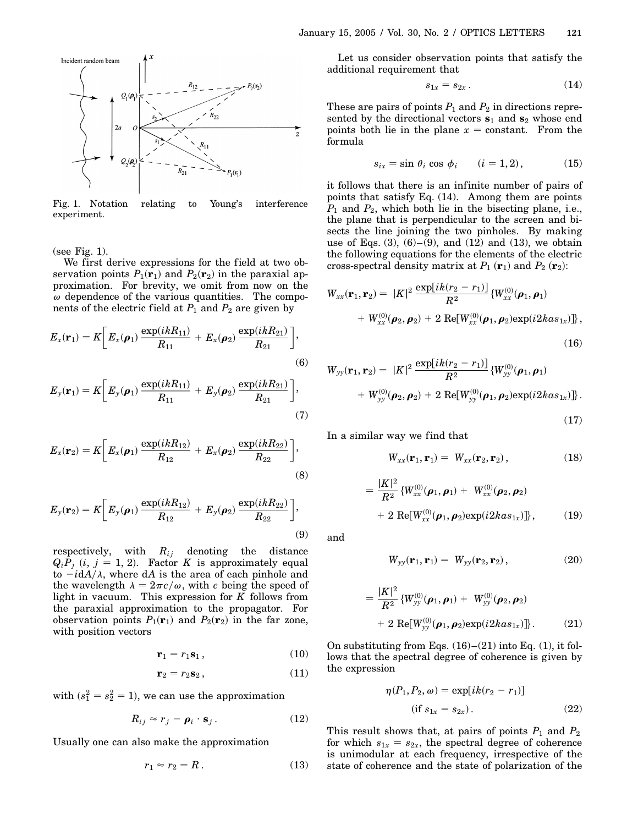

Fig. 1. Notation relating to Young's interference experiment.

(see Fig. 1).

We first derive expressions for the field at two observation points  $P_1$ ( $\mathbf{r}_1$ ) and  $P_2$ ( $\mathbf{r}_2$ ) in the paraxial approximation. For brevity, we omit from now on the  $\omega$  dependence of the various quantities. The components of the electric field at  $P_1$  and  $P_2$  are given by

$$
E_x(\mathbf{r}_1) = K \bigg[ E_x(\boldsymbol{\rho}_1) \, \frac{\exp(ikR_{11})}{R_{11}} + E_x(\boldsymbol{\rho}_2) \, \frac{\exp(ikR_{21})}{R_{21}} \bigg],\tag{6}
$$

$$
E_{y}(\mathbf{r}_{1}) = K \bigg[ E_{y}(\boldsymbol{\rho}_{1}) \frac{\exp(ikR_{11})}{R_{11}} + E_{y}(\boldsymbol{\rho}_{2}) \frac{\exp(ikR_{21})}{R_{21}} \bigg],
$$
\n(7)

$$
E_x(\mathbf{r}_2) = K \bigg[ E_x(\boldsymbol{\rho}_1) \, \frac{\exp(ikR_{12})}{R_{12}} + E_x(\boldsymbol{\rho}_2) \, \frac{\exp(ikR_{22})}{R_{22}} \bigg],\tag{8}
$$

$$
E_{y}(\mathbf{r}_{2}) = K \bigg[ E_{y}(\boldsymbol{\rho}_{1}) \frac{\exp(ikR_{12})}{R_{12}} + E_{y}(\boldsymbol{\rho}_{2}) \frac{\exp(ikR_{22})}{R_{22}} \bigg],
$$
\n(9)

respectively, with *Rij* denoting the distance  $Q_i P_j$  (*i*,  $j = 1, 2$ ). Factor *K* is approximately equal to  $-i\text{d}A/\lambda$ , where dA is the area of each pinhole and the wavelength  $\lambda = 2\pi c/\omega$ , with *c* being the speed of light in vacuum. This expression for *K* follows from the paraxial approximation to the propagator. For observation points  $P_1(\mathbf{r}_1)$  and  $P_2(\mathbf{r}_2)$  in the far zone, with position vectors

$$
\mathbf{r}_1 = r_1 \mathbf{s}_1, \tag{10}
$$

$$
\mathbf{r}_2 = r_2 \mathbf{s}_2, \tag{11}
$$

with  $(s_1^2 = s_2^2 = 1)$ , we can use the approximation

$$
R_{ij} \approx r_j - \rho_i \cdot \mathbf{s}_j. \tag{12}
$$

Usually one can also make the approximation

$$
r_1 \approx r_2 = R \,. \tag{13}
$$

Let us consider observation points that satisfy the additional requirement that

$$
s_{1x}=s_{2x}. \t\t(14)
$$

These are pairs of points  $P_1$  and  $P_2$  in directions represented by the directional vectors **s**<sup>1</sup> and **s**<sup>2</sup> whose end points both lie in the plane  $x = constant$ . From the formula

$$
s_{ix} = \sin \theta_i \cos \phi_i \qquad (i = 1, 2), \tag{15}
$$

it follows that there is an infinite number of pairs of points that satisfy Eq. (14). Among them are points *P*<sup>1</sup> and *P*2, which both lie in the bisecting plane, i.e., the plane that is perpendicular to the screen and bisects the line joining the two pinholes. By making use of Eqs.  $(3)$ ,  $(6)$ – $(9)$ , and  $(12)$  and  $(13)$ , we obtain the following equations for the elements of the electric cross-spectral density matrix at  $P_1$  ( $\mathbf{r}_1$ ) and  $P_2$  ( $\mathbf{r}_2$ ):

$$
W_{xx}(\mathbf{r}_1, \mathbf{r}_2) = |K|^2 \frac{\exp[ik(r_2 - r_1)]}{R^2} \{W_{xx}^{(0)}(\boldsymbol{\rho}_1, \boldsymbol{\rho}_1) + W_{xx}^{(0)}(\boldsymbol{\rho}_2, \boldsymbol{\rho}_2) + 2 \text{ Re}[W_{xx}^{(0)}(\boldsymbol{\rho}_1, \boldsymbol{\rho}_2) \exp(i2ka s_{1x})]\},
$$
\n(16)

$$
W_{yy}(\mathbf{r}_1, \mathbf{r}_2) = |K|^2 \frac{\exp[ik(r_2 - r_1)]}{R^2} \{W_{yy}^{(0)}(\boldsymbol{\rho}_1, \boldsymbol{\rho}_1) + W_{yy}^{(0)}(\boldsymbol{\rho}_2, \boldsymbol{\rho}_2) + 2 \text{ Re}[W_{yy}^{(0)}(\boldsymbol{\rho}_1, \boldsymbol{\rho}_2) \exp(i2kas_{1x})]\}.
$$

(17)

In a similar way we find that

$$
W_{xx}(\mathbf{r}_1, \mathbf{r}_1) = W_{xx}(\mathbf{r}_2, \mathbf{r}_2), \qquad (18)
$$

$$
= \frac{|K|^2}{R^2} \{ W_{xx}^{(0)}(\boldsymbol{\rho}_1, \boldsymbol{\rho}_1) + W_{xx}^{(0)}(\boldsymbol{\rho}_2, \boldsymbol{\rho}_2) + 2 \text{ Re}[W_{xx}^{(0)}(\boldsymbol{\rho}_1, \boldsymbol{\rho}_2) \exp(i2kas_{1x})] \}, \qquad (19)
$$

and

$$
W_{yy}(\mathbf{r}_1, \mathbf{r}_1) = W_{yy}(\mathbf{r}_2, \mathbf{r}_2), \qquad (20)
$$

$$
= \frac{|K|^2}{R^2} \{ W_{yy}^{(0)}(\boldsymbol{\rho}_1, \boldsymbol{\rho}_1) + W_{yy}^{(0)}(\boldsymbol{\rho}_2, \boldsymbol{\rho}_2) + 2 \text{ Re}[W_{yy}^{(0)}(\boldsymbol{\rho}_1, \boldsymbol{\rho}_2) \exp(i2kas_{1x}) ] \}. \tag{21}
$$

On substituting from Eqs.  $(16)$ – $(21)$  into Eq.  $(1)$ , it follows that the spectral degree of coherence is given by the expression

$$
\eta(P_1, P_2, \omega) = \exp[ik(r_2 - r_1)]
$$
  
(if  $s_{1x} = s_{2x}$ ). (22)

This result shows that, at pairs of points  $P_1$  and  $P_2$ for which  $s_{1x} = s_{2x}$ , the spectral degree of coherence is unimodular at each frequency, irrespective of the state of coherence and the state of polarization of the